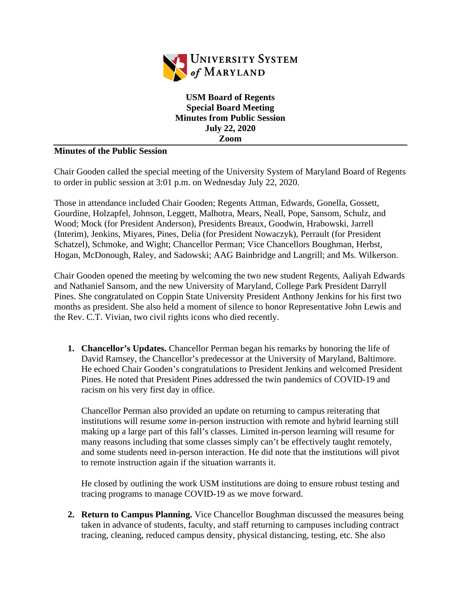

**USM Board of Regents Special Board Meeting Minutes from Public Session July 22, 2020 Zoom**

## **Minutes of the Public Session**

Chair Gooden called the special meeting of the University System of Maryland Board of Regents to order in public session at 3:01 p.m. on Wednesday July 22, 2020.

Those in attendance included Chair Gooden; Regents Attman, Edwards, Gonella, Gossett, Gourdine, Holzapfel, Johnson, Leggett, Malhotra, Mears, Neall, Pope, Sansom, Schulz, and Wood; Mock (for President Anderson), Presidents Breaux, Goodwin, Hrabowski, Jarrell (Interim), Jenkins, Miyares, Pines, Delia (for President Nowaczyk), Perrault (for President Schatzel), Schmoke, and Wight; Chancellor Perman; Vice Chancellors Boughman, Herbst, Hogan, McDonough, Raley, and Sadowski; AAG Bainbridge and Langrill; and Ms. Wilkerson.

Chair Gooden opened the meeting by welcoming the two new student Regents, Aaliyah Edwards and Nathaniel Sansom, and the new University of Maryland, College Park President Darryll Pines. She congratulated on Coppin State University President Anthony Jenkins for his first two months as president. She also held a moment of silence to honor Representative John Lewis and the Rev. C.T. Vivian, two civil rights icons who died recently.

**1. Chancellor's Updates.** Chancellor Perman began his remarks by honoring the life of David Ramsey, the Chancellor's predecessor at the University of Maryland, Baltimore. He echoed Chair Gooden's congratulations to President Jenkins and welcomed President Pines. He noted that President Pines addressed the twin pandemics of COVID-19 and racism on his very first day in office.

Chancellor Perman also provided an update on returning to campus reiterating that institutions will resume *some* in-person instruction with remote and hybrid learning still making up a large part of this fall's classes. Limited in-person learning will resume for many reasons including that some classes simply can't be effectively taught remotely, and some students need in-person interaction. He did note that the institutions will pivot to remote instruction again if the situation warrants it.

He closed by outlining the work USM institutions are doing to ensure robust testing and tracing programs to manage COVID-19 as we move forward.

**2. Return to Campus Planning.** Vice Chancellor Boughman discussed the measures being taken in advance of students, faculty, and staff returning to campuses including contract tracing, cleaning, reduced campus density, physical distancing, testing, etc. She also